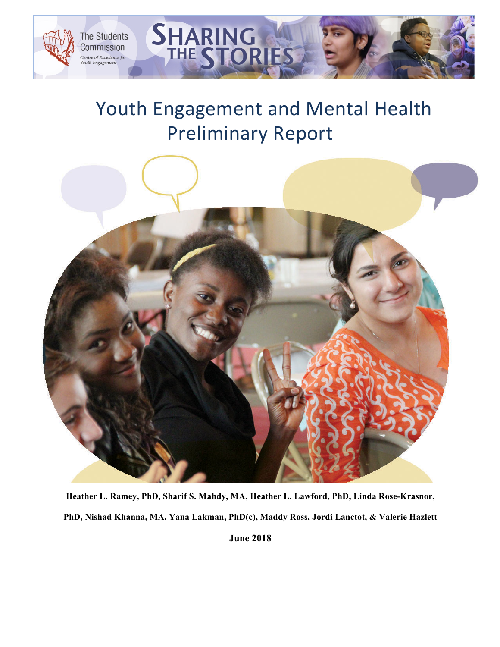

# Youth Engagement and Mental Health Preliminary Report

SHARING

**THE ST** 



**Heather L. Ramey, PhD, Sharif S. Mahdy, MA, Heather L. Lawford, PhD, Linda Rose-Krasnor, PhD, Nishad Khanna, MA, Yana Lakman, PhD(c), Maddy Ross, Jordi Lanctot, & Valerie Hazlett**

**June 2018**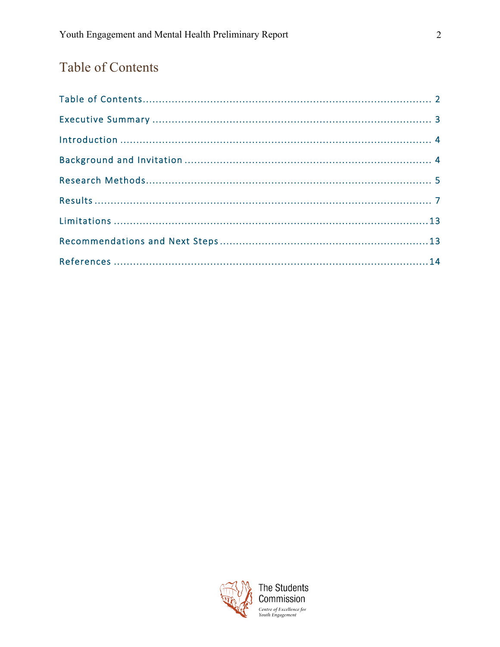## Table of Contents

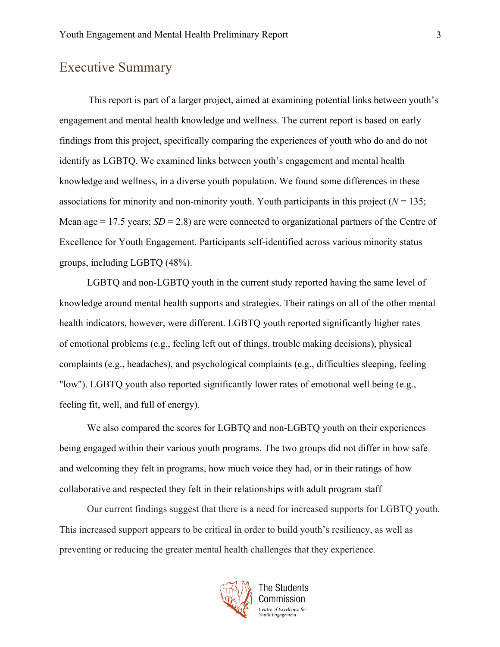## Executive Summary

This report is part of a larger project, aimed at examining potential links between youth's engagement and mental health knowledge and wellness. The current report is based on early findings from this project, specifically comparing the experiences of youth who do and do not identify as LGBTQ. We examined links between youth's engagement and mental health knowledge and wellness, in a diverse youth population. We found some differences in these associations for minority and non-minority youth. Youth participants in this project  $(N = 135)$ ; Mean age  $= 17.5$  years;  $SD = 2.8$ ) are were connected to organizational partners of the Centre of Excellence for Youth Engagement. Participants self-identified across various minority status groups, including LGBTQ (48%).

LGBTQ and non-LGBTQ youth in the current study reported having the same level of knowledge around mental health supports and strategies. Their ratings on all of the other mental health indicators, however, were different. LGBTQ youth reported significantly higher rates of emotional problems (e.g., feeling left out of things, trouble making decisions), physical complaints (e.g., headaches), and psychological complaints (e.g., difficulties sleeping, feeling "low"). LGBTQ youth also reported significantly lower rates of emotional well being (e.g., feeling fit, well, and full of energy).

We also compared the scores for LGBTQ and non-LGBTQ youth on their experiences being engaged within their various youth programs. The two groups did not differ in how safe and welcoming they felt in programs, how much voice they had, or in their ratings of how collaborative and respected they felt in their relationships with adult program staff

Our current findings suggest that there is a need for increased supports for LGBTQ youth. This increased support appears to be critical in order to build youth's resiliency, as well as preventing or reducing the greater mental health challenges that they experience.

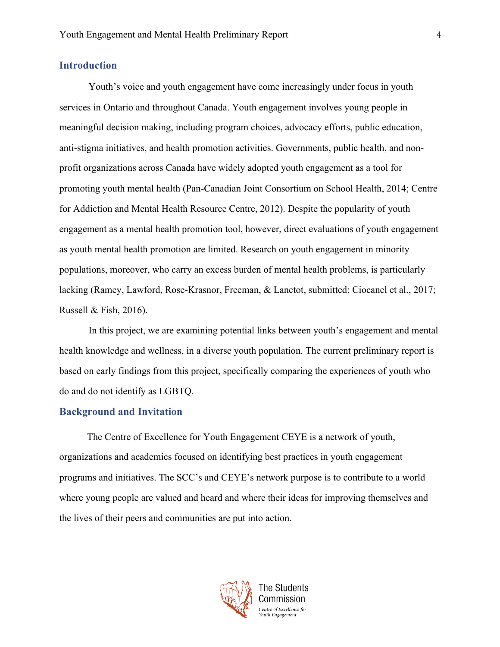#### **Introduction**

Youth's voice and youth engagement have come increasingly under focus in youth services in Ontario and throughout Canada. Youth engagement involves young people in meaningful decision making, including program choices, advocacy efforts, public education, anti-stigma initiatives, and health promotion activities. Governments, public health, and nonprofit organizations across Canada have widely adopted youth engagement as a tool for promoting youth mental health (Pan-Canadian Joint Consortium on School Health, 2014; Centre for Addiction and Mental Health Resource Centre, 2012). Despite the popularity of youth engagement as a mental health promotion tool, however, direct evaluations of youth engagement as youth mental health promotion are limited. Research on youth engagement in minority populations, moreover, who carry an excess burden of mental health problems, is particularly lacking (Ramey, Lawford, Rose-Krasnor, Freeman, & Lanctot, submitted; Ciocanel et al., 2017; Russell & Fish, 2016).

In this project, we are examining potential links between youth's engagement and mental health knowledge and wellness, in a diverse youth population. The current preliminary report is based on early findings from this project, specifically comparing the experiences of youth who do and do not identify as LGBTQ.

#### **Background and Invitation**

The Centre of Excellence for Youth Engagement CEYE is a network of youth, organizations and academics focused on identifying best practices in youth engagement programs and initiatives. The SCC's and CEYE's network purpose is to contribute to a world where young people are valued and heard and where their ideas for improving themselves and the lives of their peers and communities are put into action.

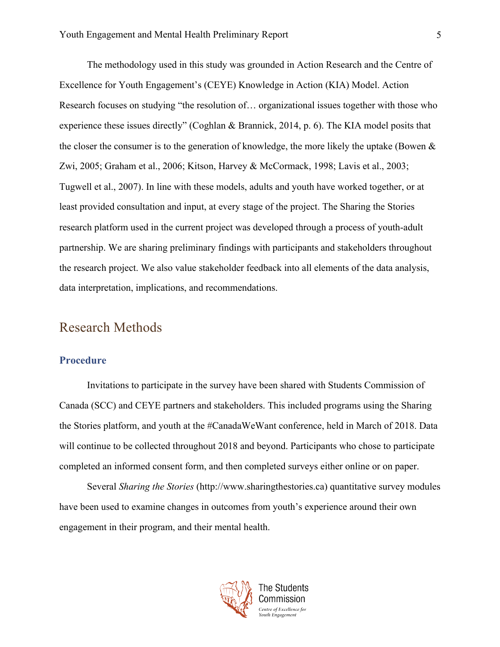The methodology used in this study was grounded in Action Research and the Centre of Excellence for Youth Engagement's (CEYE) Knowledge in Action (KIA) Model. Action Research focuses on studying "the resolution of… organizational issues together with those who experience these issues directly" (Coghlan & Brannick, 2014, p. 6). The KIA model posits that the closer the consumer is to the generation of knowledge, the more likely the uptake (Bowen  $\&$ Zwi, 2005; Graham et al., 2006; Kitson, Harvey & McCormack, 1998; Lavis et al., 2003; Tugwell et al., 2007). In line with these models, adults and youth have worked together, or at least provided consultation and input, at every stage of the project. The Sharing the Stories research platform used in the current project was developed through a process of youth-adult partnership. We are sharing preliminary findings with participants and stakeholders throughout the research project. We also value stakeholder feedback into all elements of the data analysis, data interpretation, implications, and recommendations.

### Research Methods

#### **Procedure**

Invitations to participate in the survey have been shared with Students Commission of Canada (SCC) and CEYE partners and stakeholders. This included programs using the Sharing the Stories platform, and youth at the #CanadaWeWant conference, held in March of 2018. Data will continue to be collected throughout 2018 and beyond. Participants who chose to participate completed an informed consent form, and then completed surveys either online or on paper.

Several *Sharing the Stories* (http://www.sharingthestories.ca) quantitative survey modules have been used to examine changes in outcomes from youth's experience around their own engagement in their program, and their mental health.

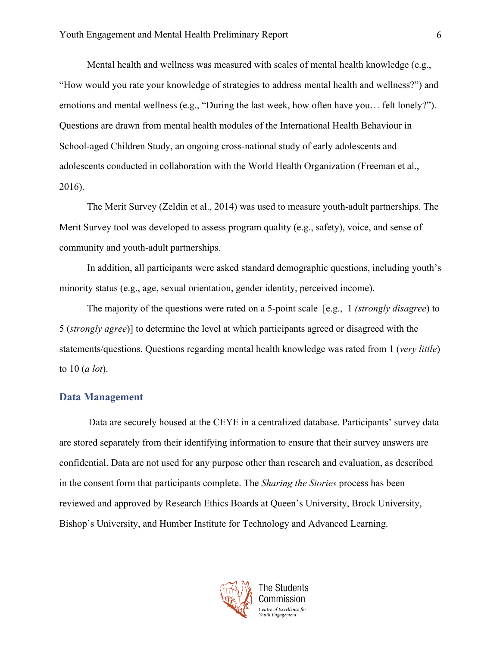Mental health and wellness was measured with scales of mental health knowledge (e.g., "How would you rate your knowledge of strategies to address mental health and wellness?") and emotions and mental wellness (e.g., "During the last week, how often have you… felt lonely?"). Questions are drawn from mental health modules of the International Health Behaviour in School-aged Children Study, an ongoing cross-national study of early adolescents and adolescents conducted in collaboration with the World Health Organization (Freeman et al., 2016).

The Merit Survey (Zeldin et al., 2014) was used to measure youth-adult partnerships. The Merit Survey tool was developed to assess program quality (e.g., safety), voice, and sense of community and youth-adult partnerships.

In addition, all participants were asked standard demographic questions, including youth's minority status (e.g., age, sexual orientation, gender identity, perceived income).

The majority of the questions were rated on a 5-point scale [e.g., 1 *(strongly disagree*) to 5 (*strongly agree*)] to determine the level at which participants agreed or disagreed with the statements/questions. Questions regarding mental health knowledge was rated from 1 (*very little*) to 10 (*a lot*).

#### **Data Management**

Data are securely housed at the CEYE in a centralized database. Participants' survey data are stored separately from their identifying information to ensure that their survey answers are confidential. Data are not used for any purpose other than research and evaluation, as described in the consent form that participants complete. The *Sharing the Stories* process has been reviewed and approved by Research Ethics Boards at Queen's University, Brock University, Bishop's University, and Humber Institute for Technology and Advanced Learning.

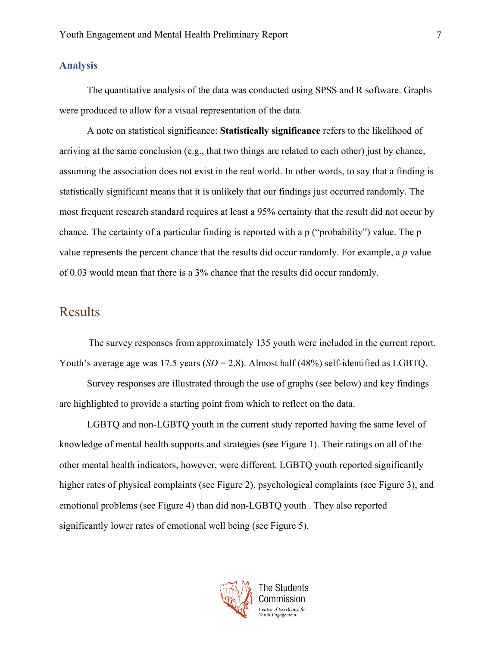#### **Analysis**

The quantitative analysis of the data was conducted using SPSS and R software. Graphs were produced to allow for a visual representation of the data.

A note on statistical significance: **Statistically significance** refers to the likelihood of arriving at the same conclusion (e.g., that two things are related to each other) just by chance, assuming the association does not exist in the real world. In other words, to say that a finding is statistically significant means that it is unlikely that our findings just occurred randomly. The most frequent research standard requires at least a 95% certainty that the result did not occur by chance. The certainty of a particular finding is reported with a p ("probability") value. The p value represents the percent chance that the results did occur randomly. For example, a *p* value of 0.03 would mean that there is a 3% chance that the results did occur randomly.

## Results

The survey responses from approximately 135 youth were included in the current report. Youth's average age was 17.5 years (*SD* = 2.8). Almost half (48%) self-identified as LGBTQ.

Survey responses are illustrated through the use of graphs (see below) and key findings are highlighted to provide a starting point from which to reflect on the data.

LGBTQ and non-LGBTQ youth in the current study reported having the same level of knowledge of mental health supports and strategies (see Figure 1). Their ratings on all of the other mental health indicators, however, were different. LGBTQ youth reported significantly higher rates of physical complaints (see Figure 2), psychological complaints (see Figure 3), and emotional problems (see Figure 4) than did non-LGBTQ youth . They also reported significantly lower rates of emotional well being (see Figure 5).

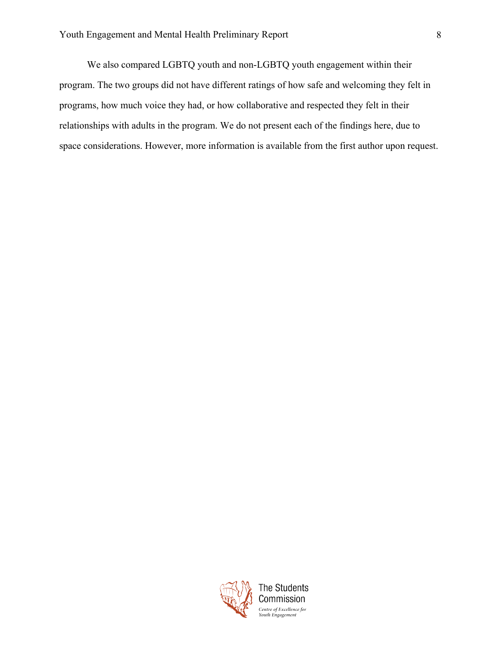We also compared LGBTQ youth and non-LGBTQ youth engagement within their program. The two groups did not have different ratings of how safe and welcoming they felt in programs, how much voice they had, or how collaborative and respected they felt in their relationships with adults in the program. We do not present each of the findings here, due to space considerations. However, more information is available from the first author upon request.

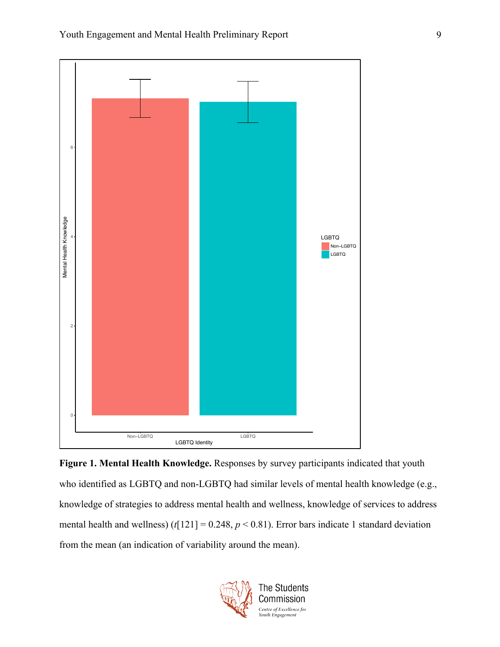

**Figure 1. Mental Health Knowledge.** Responses by survey participants indicated that youth who identified as LGBTQ and non-LGBTQ had similar levels of mental health knowledge (e.g., knowledge of strategies to address mental health and wellness, knowledge of services to address mental health and wellness)  $(t[121] = 0.248, p < 0.81)$ . Error bars indicate 1 standard deviation from the mean (an indication of variability around the mean).

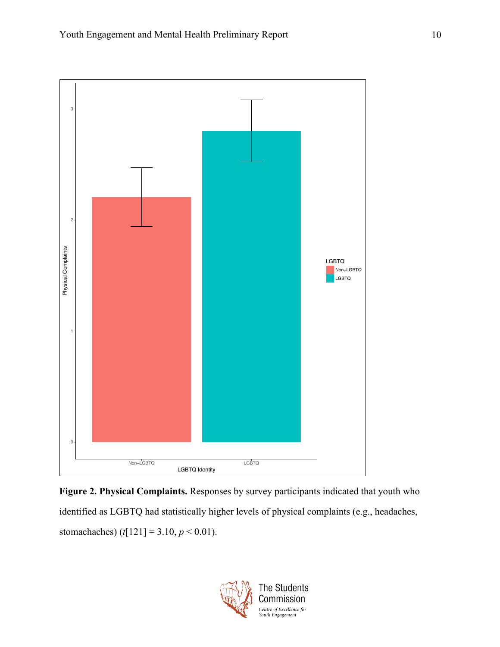

**Figure 2. Physical Complaints.** Responses by survey participants indicated that youth who identified as LGBTQ had statistically higher levels of physical complaints (e.g., headaches, stomachaches)  $(t[121] = 3.10, p < 0.01)$ .

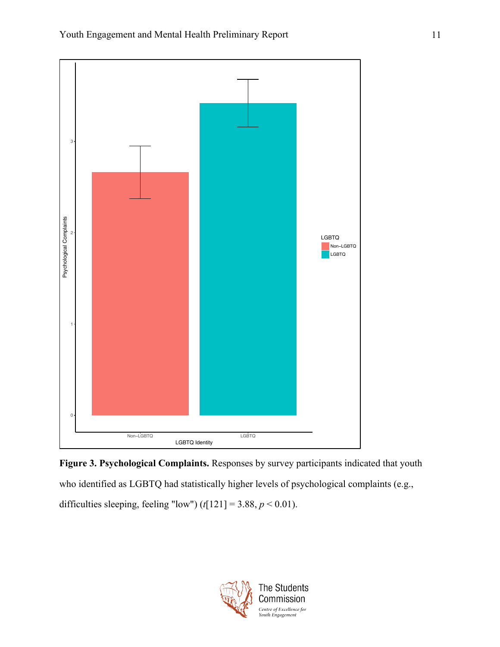

**Figure 3. Psychological Complaints.** Responses by survey participants indicated that youth who identified as LGBTQ had statistically higher levels of psychological complaints (e.g., difficulties sleeping, feeling "low")  $(t[121] = 3.88, p < 0.01)$ .

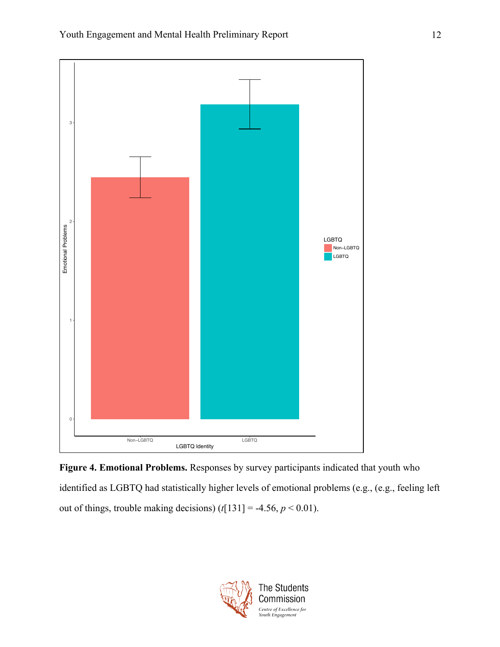

**Figure 4. Emotional Problems.** Responses by survey participants indicated that youth who identified as LGBTQ had statistically higher levels of emotional problems (e.g., (e.g., feeling left out of things, trouble making decisions)  $(t[131] = -4.56, p < 0.01)$ .

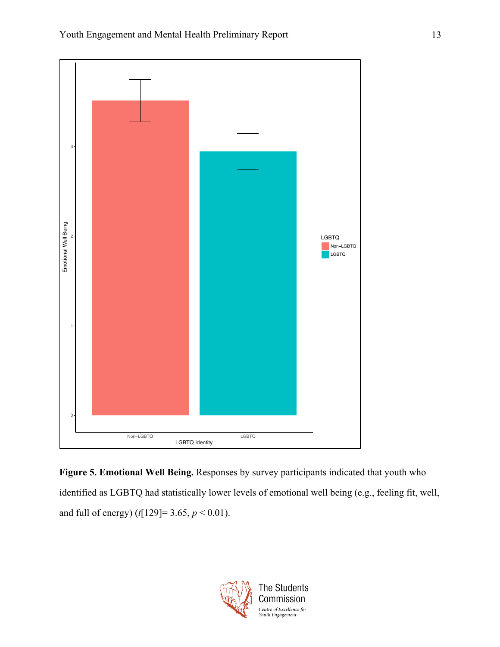

**Figure 5. Emotional Well Being.** Responses by survey participants indicated that youth who identified as LGBTQ had statistically lower levels of emotional well being (e.g., feeling fit, well, and full of energy) (*t*[129]= 3.65, *p* < 0.01).

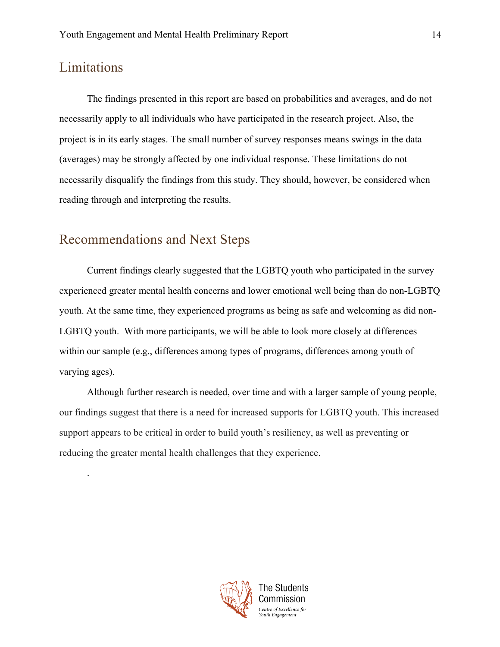## Limitations

.

The findings presented in this report are based on probabilities and averages, and do not necessarily apply to all individuals who have participated in the research project. Also, the project is in its early stages. The small number of survey responses means swings in the data (averages) may be strongly affected by one individual response. These limitations do not necessarily disqualify the findings from this study. They should, however, be considered when reading through and interpreting the results.

## Recommendations and Next Steps

Current findings clearly suggested that the LGBTQ youth who participated in the survey experienced greater mental health concerns and lower emotional well being than do non-LGBTQ youth. At the same time, they experienced programs as being as safe and welcoming as did non-LGBTQ youth. With more participants, we will be able to look more closely at differences within our sample (e.g., differences among types of programs, differences among youth of varying ages).

Although further research is needed, over time and with a larger sample of young people, our findings suggest that there is a need for increased supports for LGBTQ youth. This increased support appears to be critical in order to build youth's resiliency, as well as preventing or reducing the greater mental health challenges that they experience.

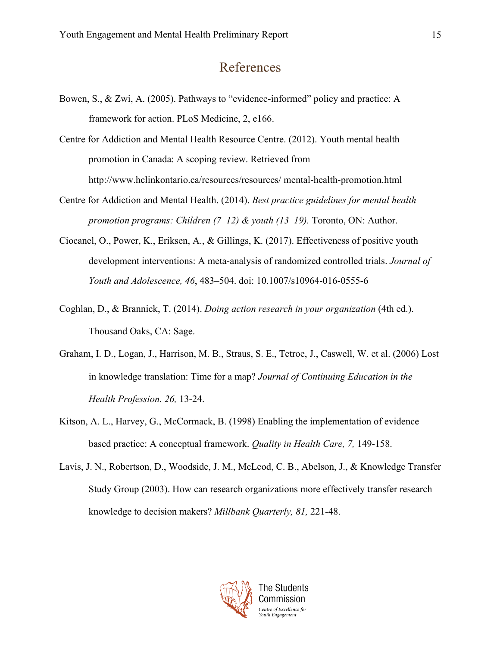## References

- Bowen, S., & Zwi, A. (2005). Pathways to "evidence-informed" policy and practice: A framework for action. PLoS Medicine, 2, e166.
- Centre for Addiction and Mental Health Resource Centre. (2012). Youth mental health promotion in Canada: A scoping review. Retrieved from http://www.hclinkontario.ca/resources/resources/ mental-health-promotion.html
- Centre for Addiction and Mental Health. (2014). *Best practice guidelines for mental health promotion programs: Children (7–12) & youth (13–19).* Toronto, ON: Author.
- Ciocanel, O., Power, K., Eriksen, A., & Gillings, K. (2017). Effectiveness of positive youth development interventions: A meta-analysis of randomized controlled trials. *Journal of Youth and Adolescence, 46*, 483–504. doi: 10.1007/s10964-016-0555-6
- Coghlan, D., & Brannick, T. (2014). *Doing action research in your organization* (4th ed.). Thousand Oaks, CA: Sage.
- Graham, I. D., Logan, J., Harrison, M. B., Straus, S. E., Tetroe, J., Caswell, W. et al. (2006) Lost in knowledge translation: Time for a map? *Journal of Continuing Education in the Health Profession. 26,* 13-24.
- Kitson, A. L., Harvey, G., McCormack, B. (1998) Enabling the implementation of evidence based practice: A conceptual framework. *Quality in Health Care, 7,* 149-158.
- Lavis, J. N., Robertson, D., Woodside, J. M., McLeod, C. B., Abelson, J., & Knowledge Transfer Study Group (2003). How can research organizations more effectively transfer research knowledge to decision makers? *Millbank Quarterly, 81,* 221-48.